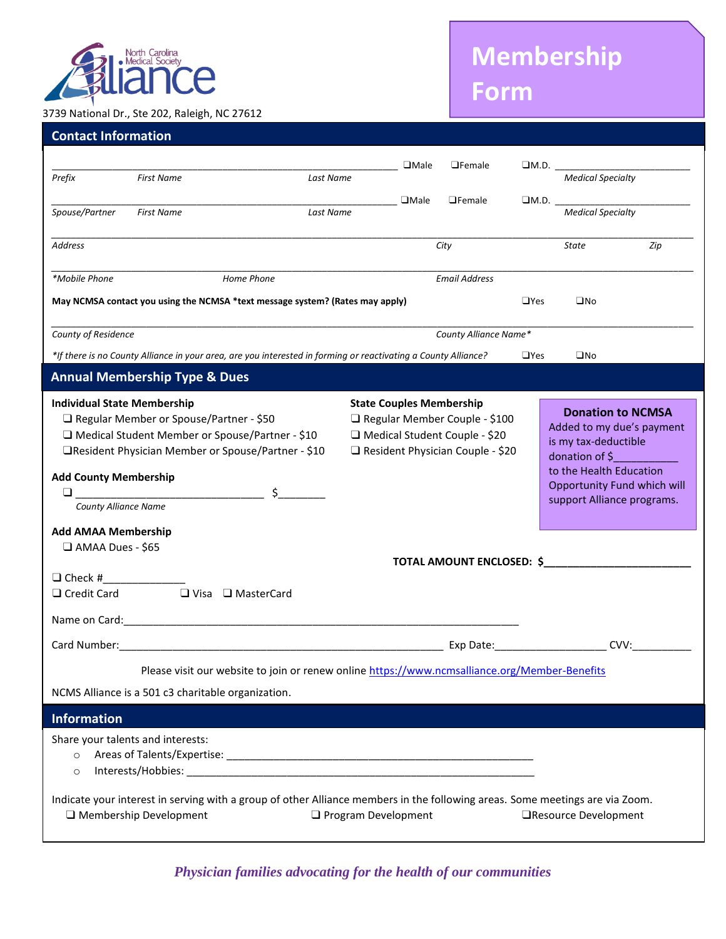

## 3739 National Dr., Ste 202, Raleigh, NC 27612

## **Membership Form**

*Continued on next page*

| <b>Contact Information</b>                                                                                                                                                                                                                                                                                                                                                                                                     |                                          |                                                                                                                              |                            |             |                                                                                                                                         |            |                                                                                                                                                                                                                      |     |
|--------------------------------------------------------------------------------------------------------------------------------------------------------------------------------------------------------------------------------------------------------------------------------------------------------------------------------------------------------------------------------------------------------------------------------|------------------------------------------|------------------------------------------------------------------------------------------------------------------------------|----------------------------|-------------|-----------------------------------------------------------------------------------------------------------------------------------------|------------|----------------------------------------------------------------------------------------------------------------------------------------------------------------------------------------------------------------------|-----|
|                                                                                                                                                                                                                                                                                                                                                                                                                                |                                          |                                                                                                                              |                            |             | $\Box$ Female                                                                                                                           |            | $\Box$ M.D.                                                                                                                                                                                                          |     |
| Prefix                                                                                                                                                                                                                                                                                                                                                                                                                         | <b>First Name</b>                        |                                                                                                                              | Last Name                  |             |                                                                                                                                         |            | <b>Medical Specialty</b>                                                                                                                                                                                             |     |
| Spouse/Partner                                                                                                                                                                                                                                                                                                                                                                                                                 | <b>First Name</b>                        | Last Name                                                                                                                    |                            | $\Box$ Male | $\Box$ Female                                                                                                                           |            | $\Box$ M.D. $\_\_\_\_\_\_\_\_\_\_\_\_\_\_\_\_\_\_$<br><b>Medical Specialty</b>                                                                                                                                       |     |
| Address                                                                                                                                                                                                                                                                                                                                                                                                                        |                                          |                                                                                                                              |                            |             | City                                                                                                                                    |            | State                                                                                                                                                                                                                | Zip |
| *Mobile Phone<br>Home Phone                                                                                                                                                                                                                                                                                                                                                                                                    |                                          |                                                                                                                              |                            |             | <b>Email Address</b>                                                                                                                    |            |                                                                                                                                                                                                                      |     |
| May NCMSA contact you using the NCMSA *text message system? (Rates may apply)<br>$\square$ No<br>$\Box$ Yes                                                                                                                                                                                                                                                                                                                    |                                          |                                                                                                                              |                            |             |                                                                                                                                         |            |                                                                                                                                                                                                                      |     |
| County of Residence<br>County Alliance Name*                                                                                                                                                                                                                                                                                                                                                                                   |                                          |                                                                                                                              |                            |             |                                                                                                                                         |            |                                                                                                                                                                                                                      |     |
| *If there is no County Alliance in your area, are you interested in forming or reactivating a County Alliance?                                                                                                                                                                                                                                                                                                                 |                                          |                                                                                                                              |                            |             |                                                                                                                                         | $\Box$ Yes | $\square$ No                                                                                                                                                                                                         |     |
|                                                                                                                                                                                                                                                                                                                                                                                                                                | <b>Annual Membership Type &amp; Dues</b> |                                                                                                                              |                            |             |                                                                                                                                         |            |                                                                                                                                                                                                                      |     |
| <b>Individual State Membership</b><br>□ Regular Member or Spouse/Partner - \$50<br>□ Medical Student Member or Spouse/Partner - \$10<br>□Resident Physician Member or Spouse/Partner - \$10<br><b>Add County Membership</b><br>$\Box$<br><b>County Alliance Name</b><br><b>Add AMAA Membership</b><br>AMAA Dues - \$65<br>$\Box$ Check #<br>$\Box$ Credit Card<br>$\Box$ Visa $\Box$ MasterCard<br>Name on Card: Name on Card: |                                          |                                                                                                                              |                            |             | <b>State Couples Membership</b><br>Regular Member Couple - \$100<br>□ Medical Student Couple - \$20<br>Resident Physician Couple - \$20 |            | <b>Donation to NCMSA</b><br>Added to my due's payment<br>is my tax-deductible<br>donation of \$<br>to the Health Education<br>Opportunity Fund which will<br>support Alliance programs.<br>TOTAL AMOUNT ENCLOSED: \$ |     |
| Exp Date: The Same School and School and School and School and School and School and School and School and School<br>CVV:                                                                                                                                                                                                                                                                                                      |                                          |                                                                                                                              |                            |             |                                                                                                                                         |            |                                                                                                                                                                                                                      |     |
| Please visit our website to join or renew online https://www.ncmsalliance.org/Member-Benefits                                                                                                                                                                                                                                                                                                                                  |                                          |                                                                                                                              |                            |             |                                                                                                                                         |            |                                                                                                                                                                                                                      |     |
|                                                                                                                                                                                                                                                                                                                                                                                                                                |                                          | NCMS Alliance is a 501 c3 charitable organization.                                                                           |                            |             |                                                                                                                                         |            |                                                                                                                                                                                                                      |     |
| <b>Information</b>                                                                                                                                                                                                                                                                                                                                                                                                             |                                          |                                                                                                                              |                            |             |                                                                                                                                         |            |                                                                                                                                                                                                                      |     |
| $\circ$<br>$\circ$                                                                                                                                                                                                                                                                                                                                                                                                             | Share your talents and interests:        |                                                                                                                              |                            |             |                                                                                                                                         |            |                                                                                                                                                                                                                      |     |
|                                                                                                                                                                                                                                                                                                                                                                                                                                | □ Membership Development                 | Indicate your interest in serving with a group of other Alliance members in the following areas. Some meetings are via Zoom. | $\Box$ Program Development |             |                                                                                                                                         |            | □Resource Development                                                                                                                                                                                                |     |

*Physician families advocating for the health of our communities*